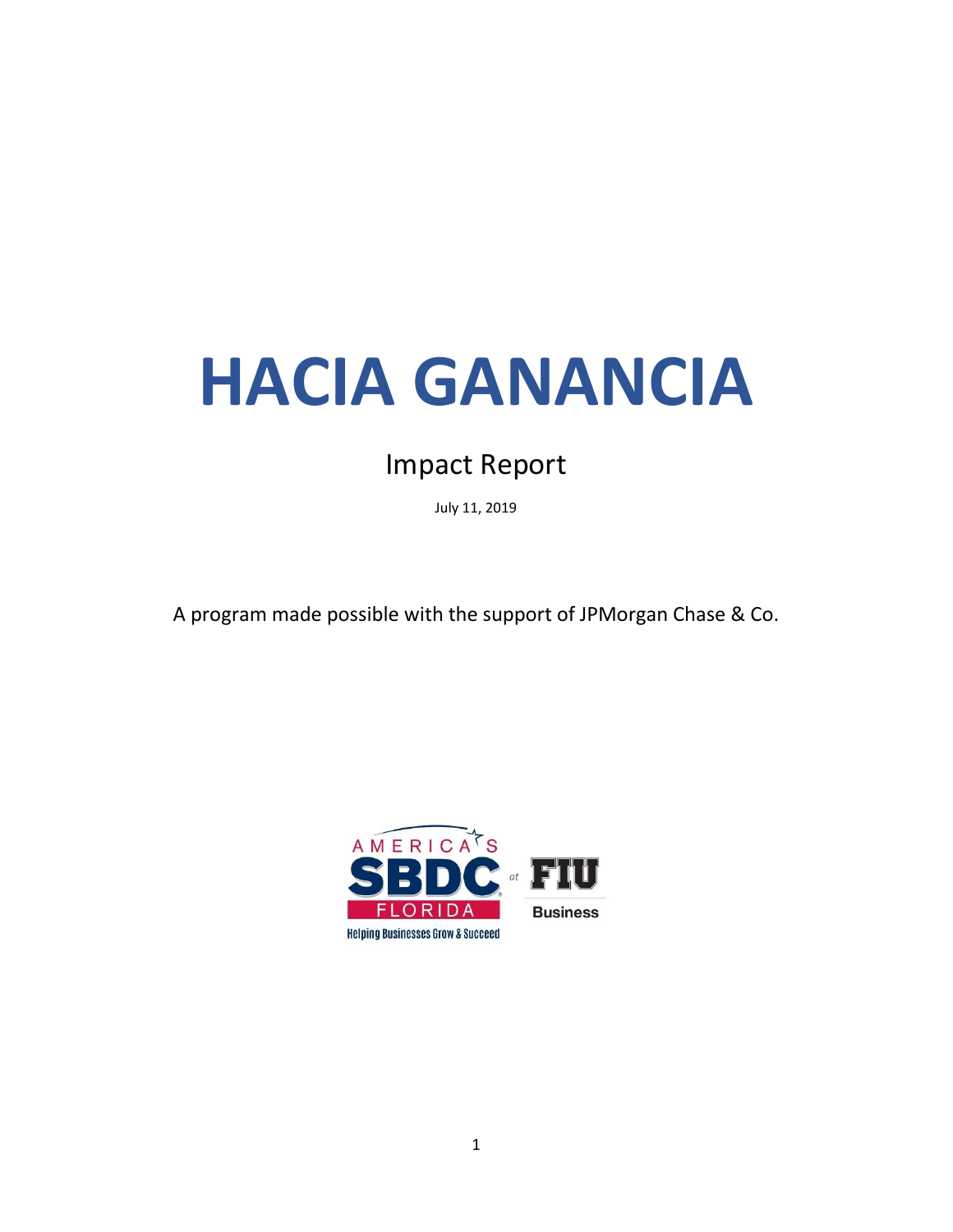# **HACIA GANANCIA**

## Impact Report

July 11, 2019

A program made possible with the support of JPMorgan Chase & Co.

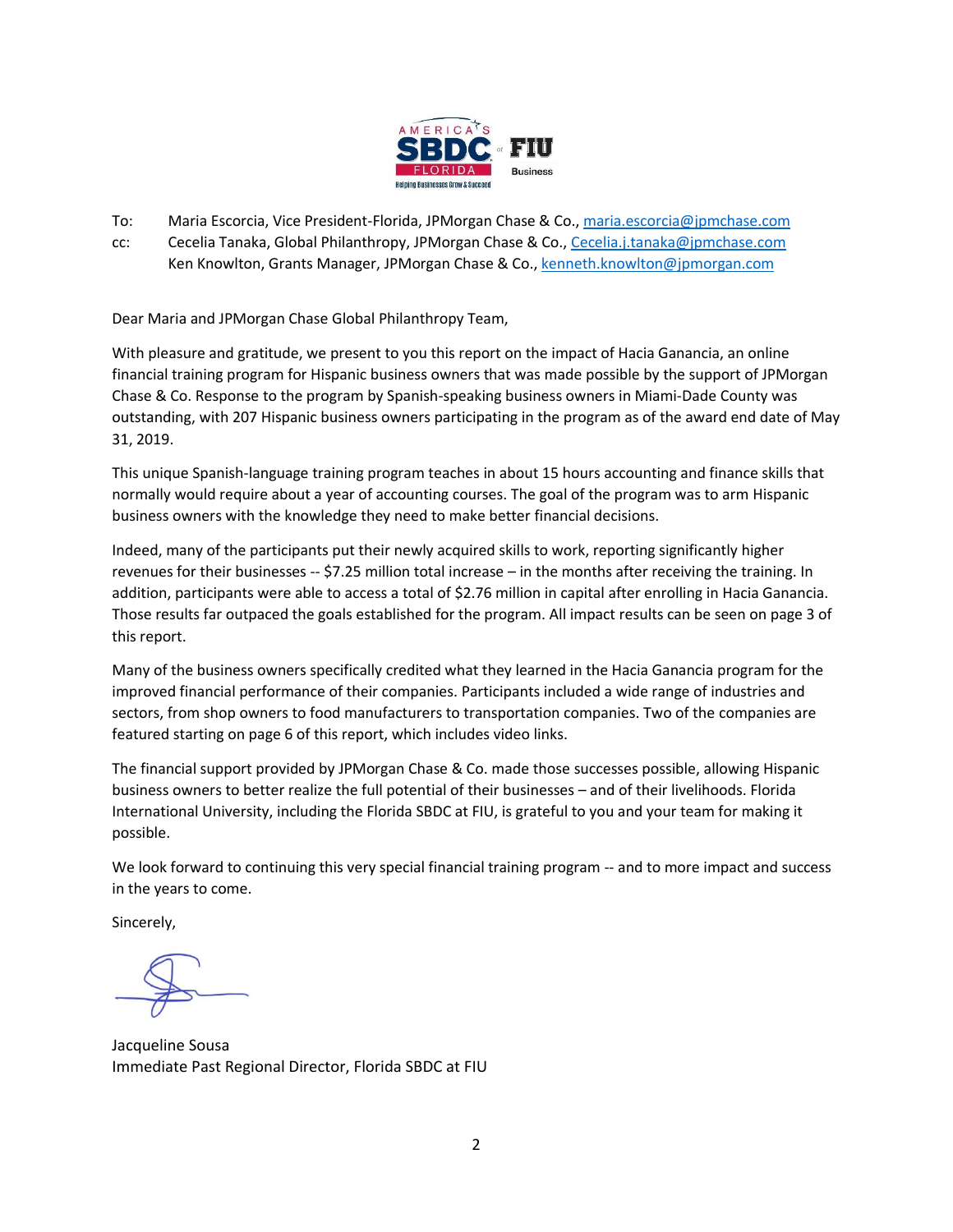

To: Maria Escorcia, Vice President-Florida, JPMorgan Chase & Co., [maria.escorcia@jpmchase.com](mailto:maria.escorcia@jpmchase.com)

cc: Cecelia Tanaka, Global Philanthropy, JPMorgan Chase & Co., [Cecelia.j.tanaka@jpmchase.com](mailto:Cecelia.j.tanaka@jpmchase.com) Ken Knowlton, Grants Manager, JPMorgan Chase & Co.[, kenneth.knowlton@jpmorgan.com](mailto:kenneth.knowlton@jpmorgan.com)

Dear Maria and JPMorgan Chase Global Philanthropy Team,

With pleasure and gratitude, we present to you this report on the impact of Hacia Ganancia, an online financial training program for Hispanic business owners that was made possible by the support of JPMorgan Chase & Co. Response to the program by Spanish-speaking business owners in Miami-Dade County was outstanding, with 207 Hispanic business owners participating in the program as of the award end date of May 31, 2019.

This unique Spanish-language training program teaches in about 15 hours accounting and finance skills that normally would require about a year of accounting courses. The goal of the program was to arm Hispanic business owners with the knowledge they need to make better financial decisions.

Indeed, many of the participants put their newly acquired skills to work, reporting significantly higher revenues for their businesses -- \$7.25 million total increase – in the months after receiving the training. In addition, participants were able to access a total of \$2.76 million in capital after enrolling in Hacia Ganancia. Those results far outpaced the goals established for the program. All impact results can be seen on page 3 of this report.

Many of the business owners specifically credited what they learned in the Hacia Ganancia program for the improved financial performance of their companies. Participants included a wide range of industries and sectors, from shop owners to food manufacturers to transportation companies. Two of the companies are featured starting on page 6 of this report, which includes video links.

The financial support provided by JPMorgan Chase & Co. made those successes possible, allowing Hispanic business owners to better realize the full potential of their businesses – and of their livelihoods. Florida International University, including the Florida SBDC at FIU, is grateful to you and your team for making it possible.

We look forward to continuing this very special financial training program -- and to more impact and success in the years to come.

Sincerely,

Jacqueline Sousa Immediate Past Regional Director, Florida SBDC at FIU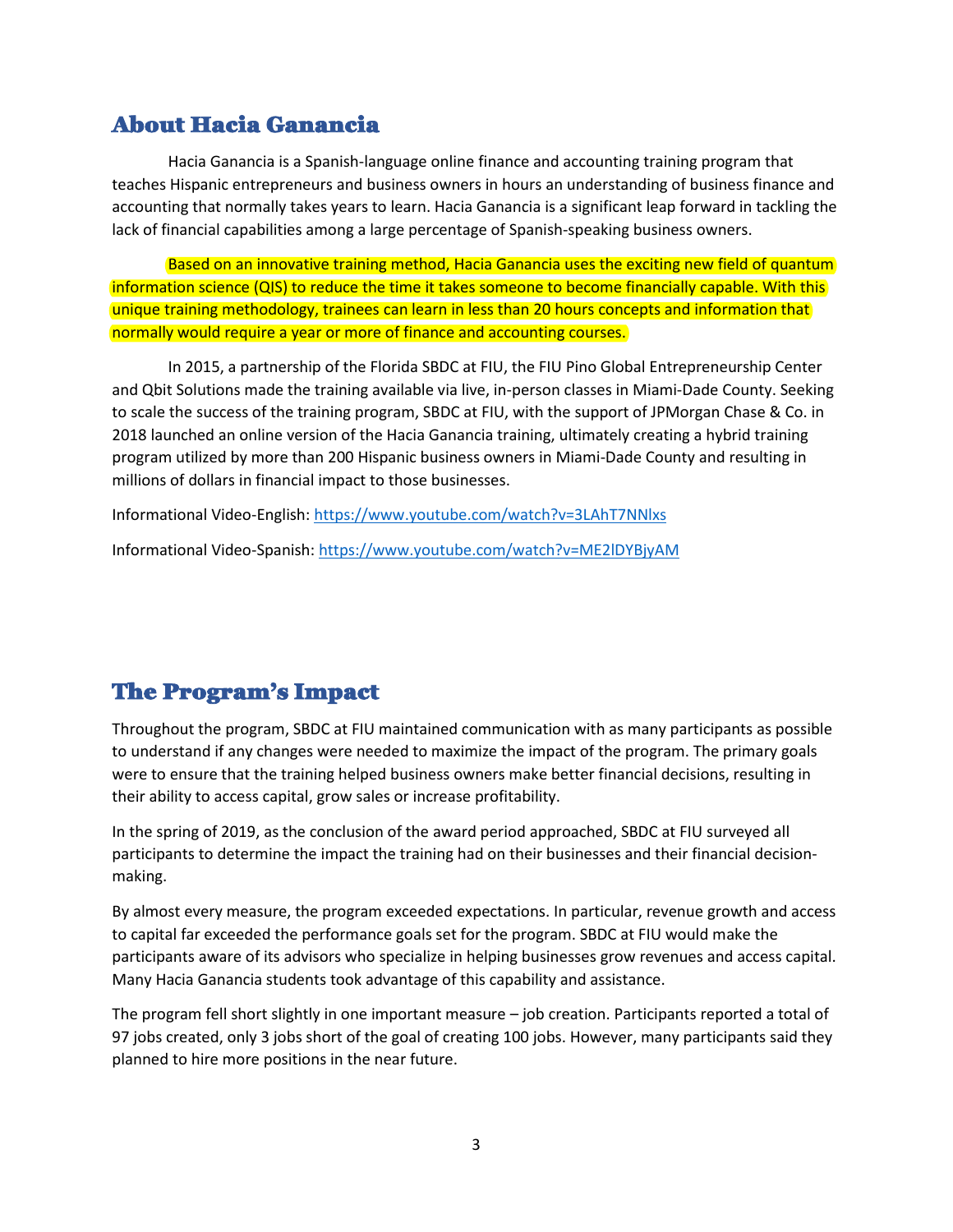### About Hacia Ganancia

Hacia Ganancia is a Spanish-language online finance and accounting training program that teaches Hispanic entrepreneurs and business owners in hours an understanding of business finance and accounting that normally takes years to learn. Hacia Ganancia is a significant leap forward in tackling the lack of financial capabilities among a large percentage of Spanish-speaking business owners.

Based on an innovative training method, Hacia Ganancia uses the exciting new field of quantum information science (QIS) to reduce the time it takes someone to become financially capable. With this unique training methodology, trainees can learn in less than 20 hours concepts and information that normally would require a year or more of finance and accounting courses.

In 2015, a partnership of the Florida SBDC at FIU, the FIU Pino Global Entrepreneurship Center and Qbit Solutions made the training available via live, in-person classes in Miami-Dade County. Seeking to scale the success of the training program, SBDC at FIU, with the support of JPMorgan Chase & Co. in 2018 launched an online version of the Hacia Ganancia training, ultimately creating a hybrid training program utilized by more than 200 Hispanic business owners in Miami-Dade County and resulting in millions of dollars in financial impact to those businesses.

Informational Video-English[: https://www.youtube.com/watch?v=3LAhT7NNlxs](https://www.youtube.com/watch?v=3LAhT7NNlxs)

Informational Video-Spanish: <https://www.youtube.com/watch?v=ME2lDYBjyAM>

### The Program's Impact

Throughout the program, SBDC at FIU maintained communication with as many participants as possible to understand if any changes were needed to maximize the impact of the program. The primary goals were to ensure that the training helped business owners make better financial decisions, resulting in their ability to access capital, grow sales or increase profitability.

In the spring of 2019, as the conclusion of the award period approached, SBDC at FIU surveyed all participants to determine the impact the training had on their businesses and their financial decisionmaking.

By almost every measure, the program exceeded expectations. In particular, revenue growth and access to capital far exceeded the performance goals set for the program. SBDC at FIU would make the participants aware of its advisors who specialize in helping businesses grow revenues and access capital. Many Hacia Ganancia students took advantage of this capability and assistance.

The program fell short slightly in one important measure – job creation. Participants reported a total of 97 jobs created, only 3 jobs short of the goal of creating 100 jobs. However, many participants said they planned to hire more positions in the near future.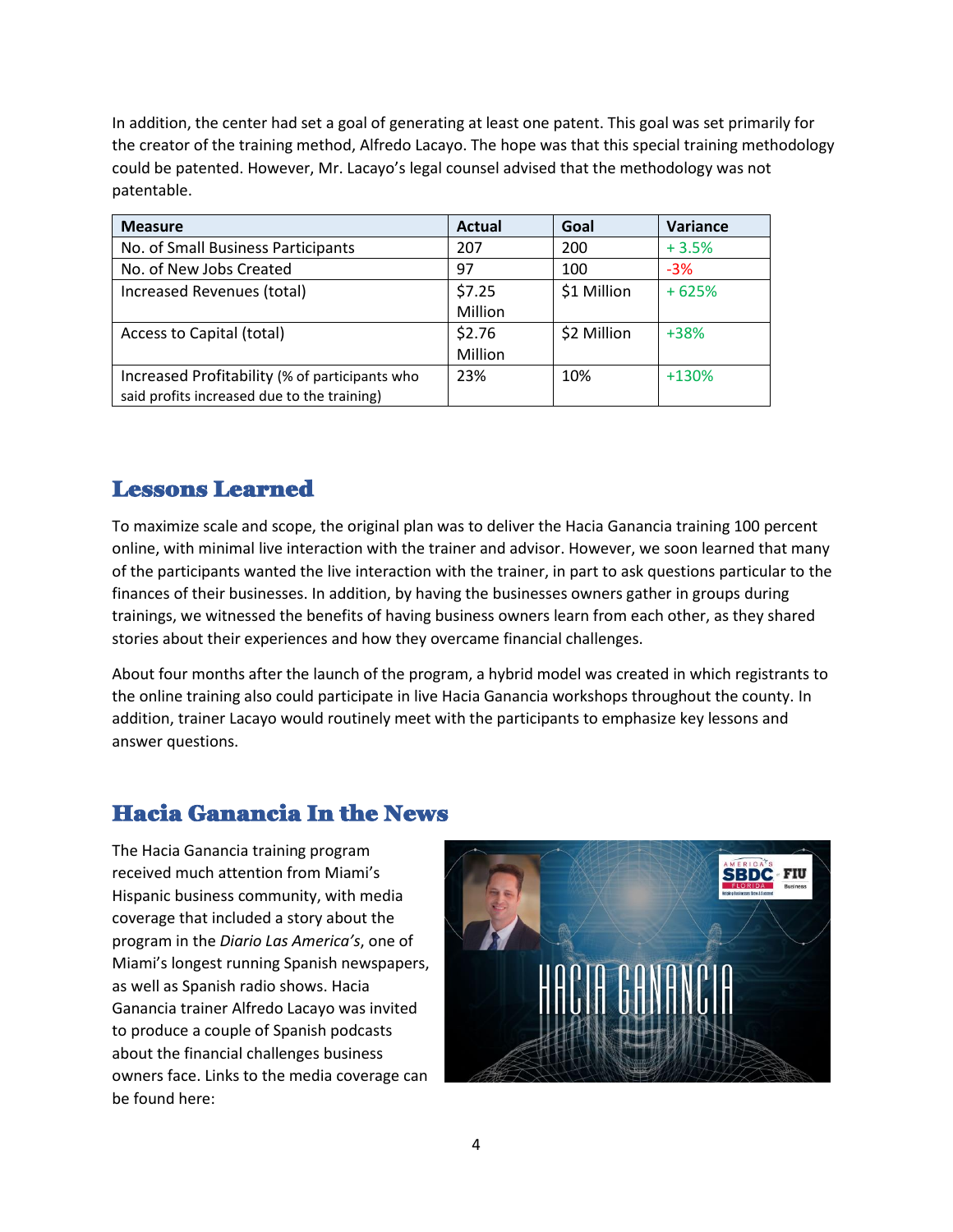In addition, the center had set a goal of generating at least one patent. This goal was set primarily for the creator of the training method, Alfredo Lacayo. The hope was that this special training methodology could be patented. However, Mr. Lacayo's legal counsel advised that the methodology was not patentable.

| <b>Measure</b>                                 | <b>Actual</b> | Goal        | Variance |
|------------------------------------------------|---------------|-------------|----------|
| No. of Small Business Participants             | 207           | 200         | $+3.5%$  |
| No. of New Jobs Created                        | 97            | 100         | $-3%$    |
| Increased Revenues (total)                     | \$7.25        | \$1 Million | $+625%$  |
|                                                | Million       |             |          |
| Access to Capital (total)                      | \$2.76        | \$2 Million | $+38%$   |
|                                                | Million       |             |          |
| Increased Profitability (% of participants who | 23%           | 10%         | $+130%$  |
| said profits increased due to the training)    |               |             |          |

### Lessons Learned

To maximize scale and scope, the original plan was to deliver the Hacia Ganancia training 100 percent online, with minimal live interaction with the trainer and advisor. However, we soon learned that many of the participants wanted the live interaction with the trainer, in part to ask questions particular to the finances of their businesses. In addition, by having the businesses owners gather in groups during trainings, we witnessed the benefits of having business owners learn from each other, as they shared stories about their experiences and how they overcame financial challenges.

About four months after the launch of the program, a hybrid model was created in which registrants to the online training also could participate in live Hacia Ganancia workshops throughout the county. In addition, trainer Lacayo would routinely meet with the participants to emphasize key lessons and answer questions.

### Hacia Ganancia In the News

The Hacia Ganancia training program received much attention from Miami's Hispanic business community, with media coverage that included a story about the program in the *Diario Las America's*, one of Miami's longest running Spanish newspapers, as well as Spanish radio shows. Hacia Ganancia trainer Alfredo Lacayo was invited to produce a couple of Spanish podcasts about the financial challenges business owners face. Links to the media coverage can be found here:

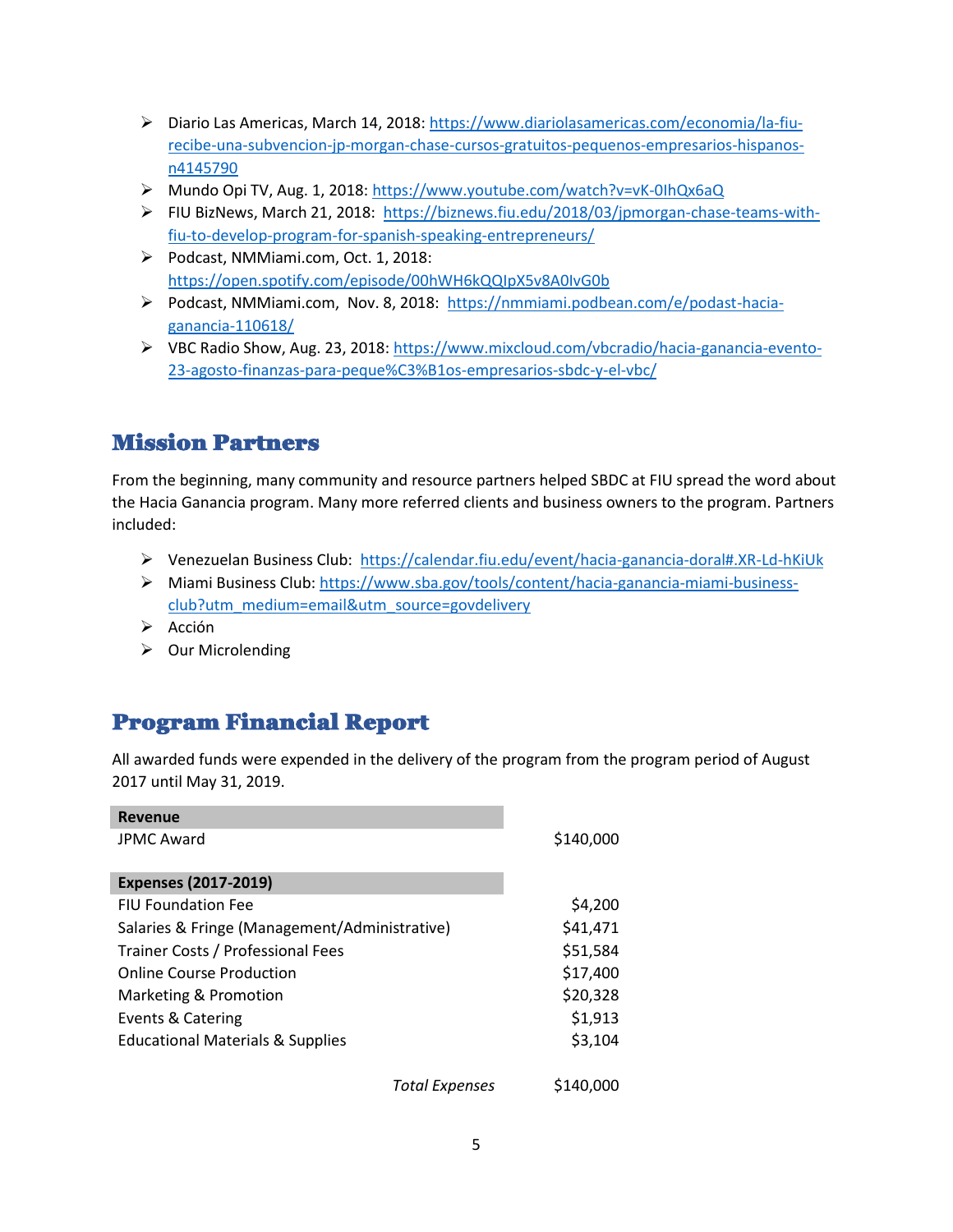- ➢ Diario Las Americas, March 14, 2018: [https://www.diariolasamericas.com/economia/la-fiu](https://www.diariolasamericas.com/economia/la-fiu-recibe-una-subvencion-jp-morgan-chase-cursos-gratuitos-pequenos-empresarios-hispanos-n4145790)[recibe-una-subvencion-jp-morgan-chase-cursos-gratuitos-pequenos-empresarios-hispanos](https://www.diariolasamericas.com/economia/la-fiu-recibe-una-subvencion-jp-morgan-chase-cursos-gratuitos-pequenos-empresarios-hispanos-n4145790)[n4145790](https://www.diariolasamericas.com/economia/la-fiu-recibe-una-subvencion-jp-morgan-chase-cursos-gratuitos-pequenos-empresarios-hispanos-n4145790)
- ➢ Mundo Opi TV, Aug. 1, 2018:<https://www.youtube.com/watch?v=vK-0IhQx6aQ>
- ➢ FIU BizNews, March 21, 2018: [https://biznews.fiu.edu/2018/03/jpmorgan-chase-teams-with](https://biznews.fiu.edu/2018/03/jpmorgan-chase-teams-with-fiu-to-develop-program-for-spanish-speaking-entrepreneurs/)[fiu-to-develop-program-for-spanish-speaking-entrepreneurs/](https://biznews.fiu.edu/2018/03/jpmorgan-chase-teams-with-fiu-to-develop-program-for-spanish-speaking-entrepreneurs/)
- ➢ Podcast, NMMiami.com, Oct. 1, 2018: <https://open.spotify.com/episode/00hWH6kQQIpX5v8A0IvG0b>
- ➢ Podcast, NMMiami.com, Nov. 8, 2018: [https://nmmiami.podbean.com/e/podast-hacia](https://nmmiami.podbean.com/e/podast-hacia-ganancia-110618/)[ganancia-110618/](https://nmmiami.podbean.com/e/podast-hacia-ganancia-110618/)
- ➢ VBC Radio Show, Aug. 23, 2018: [https://www.mixcloud.com/vbcradio/hacia-ganancia-evento-](https://www.mixcloud.com/vbcradio/hacia-ganancia-evento-23-agosto-finanzas-para-peque%C3%B1os-empresarios-sbdc-y-el-vbc/)[23-agosto-finanzas-para-peque%C3%B1os-empresarios-sbdc-y-el-vbc/](https://www.mixcloud.com/vbcradio/hacia-ganancia-evento-23-agosto-finanzas-para-peque%C3%B1os-empresarios-sbdc-y-el-vbc/)

#### Mission Partners

From the beginning, many community and resource partners helped SBDC at FIU spread the word about the Hacia Ganancia program. Many more referred clients and business owners to the program. Partners included:

- ➢ Venezuelan Business Club:<https://calendar.fiu.edu/event/hacia-ganancia-doral#.XR-Ld-hKiUk>
- ➢ Miami Business Club: [https://www.sba.gov/tools/content/hacia-ganancia-miami-business](https://www.sba.gov/tools/content/hacia-ganancia-miami-business-club?utm_medium=email&utm_source=govdelivery)[club?utm\\_medium=email&utm\\_source=govdelivery](https://www.sba.gov/tools/content/hacia-ganancia-miami-business-club?utm_medium=email&utm_source=govdelivery)
- ➢ Acción
- ➢ Our Microlending

### Program Financial Report

All awarded funds were expended in the delivery of the program from the program period of August 2017 until May 31, 2019.

| <b>Revenue</b>                                |           |
|-----------------------------------------------|-----------|
| <b>JPMC Award</b>                             | \$140,000 |
| <b>Expenses (2017-2019)</b>                   |           |
| <b>FIU Foundation Fee</b>                     | \$4,200   |
| Salaries & Fringe (Management/Administrative) | \$41,471  |
| Trainer Costs / Professional Fees             | \$51,584  |
| <b>Online Course Production</b>               | \$17,400  |
| Marketing & Promotion                         | \$20,328  |
| Events & Catering                             | \$1,913   |
| <b>Educational Materials &amp; Supplies</b>   | \$3,104   |
| <b>Total Expenses</b>                         | \$140,000 |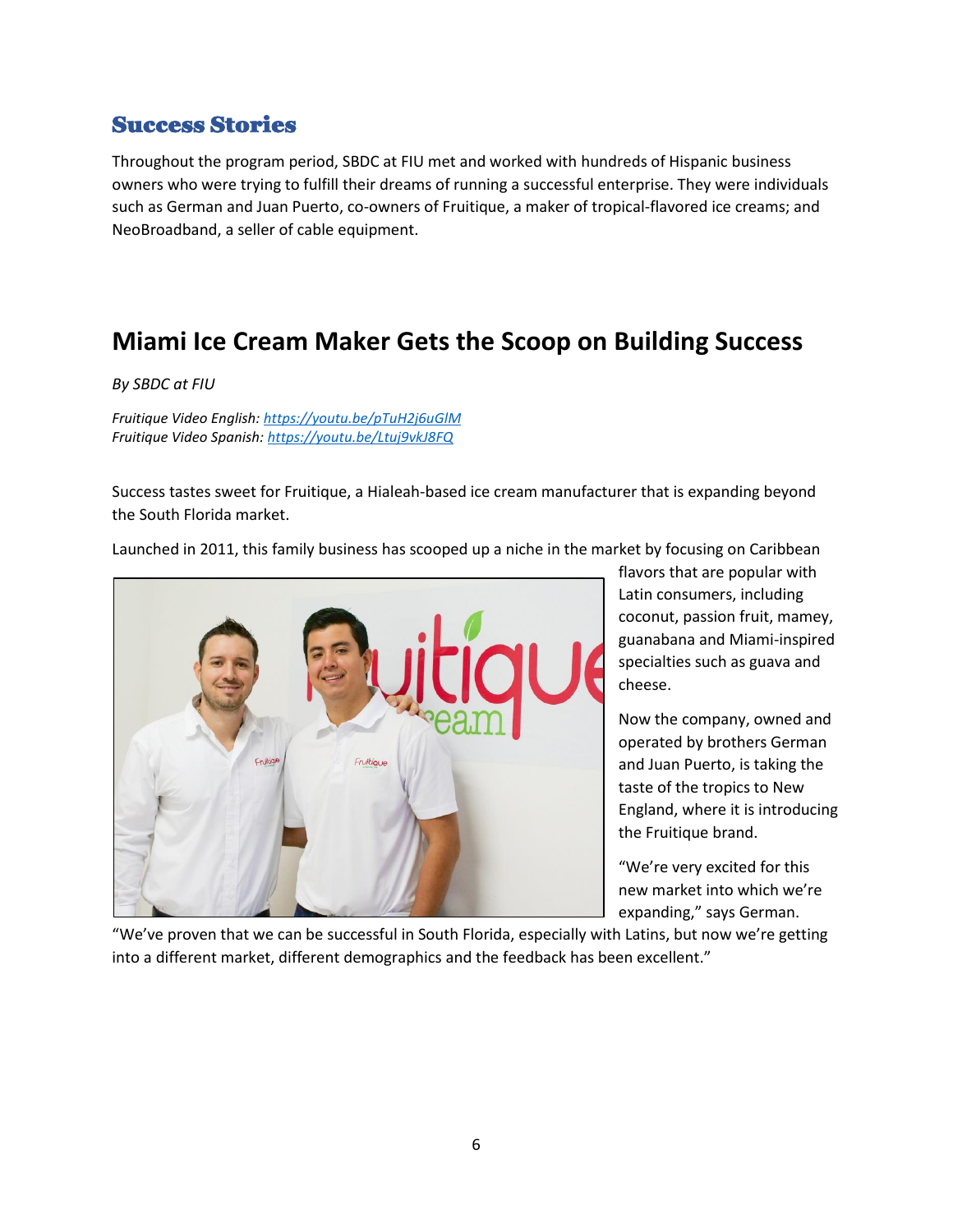#### Success Stories

Throughout the program period, SBDC at FIU met and worked with hundreds of Hispanic business owners who were trying to fulfill their dreams of running a successful enterprise. They were individuals such as German and Juan Puerto, co-owners of Fruitique, a maker of tropical-flavored ice creams; and NeoBroadband, a seller of cable equipment.

## **Miami Ice Cream Maker Gets the Scoop on Building Success**

*By SBDC at FIU*

*Fruitique Video English[: https://youtu.be/pTuH2j6uGlM](https://youtu.be/pTuH2j6uGlM) Fruitique Video Spanish:<https://youtu.be/Ltuj9vkJ8FQ>*

Success tastes sweet for Fruitique, a Hialeah-based ice cream manufacturer that is expanding beyond the South Florida market.

Launched in 2011, this family business has scooped up a niche in the market by focusing on Caribbean



flavors that are popular with Latin consumers, including coconut, passion fruit, mamey, guanabana and Miami-inspired specialties such as guava and cheese.

Now the company, owned and operated by brothers German and Juan Puerto, is taking the taste of the tropics to New England, where it is introducing the Fruitique brand.

"We're very excited for this new market into which we're expanding," says German.

"We've proven that we can be successful in South Florida, especially with Latins, but now we're getting into a different market, different demographics and the feedback has been excellent."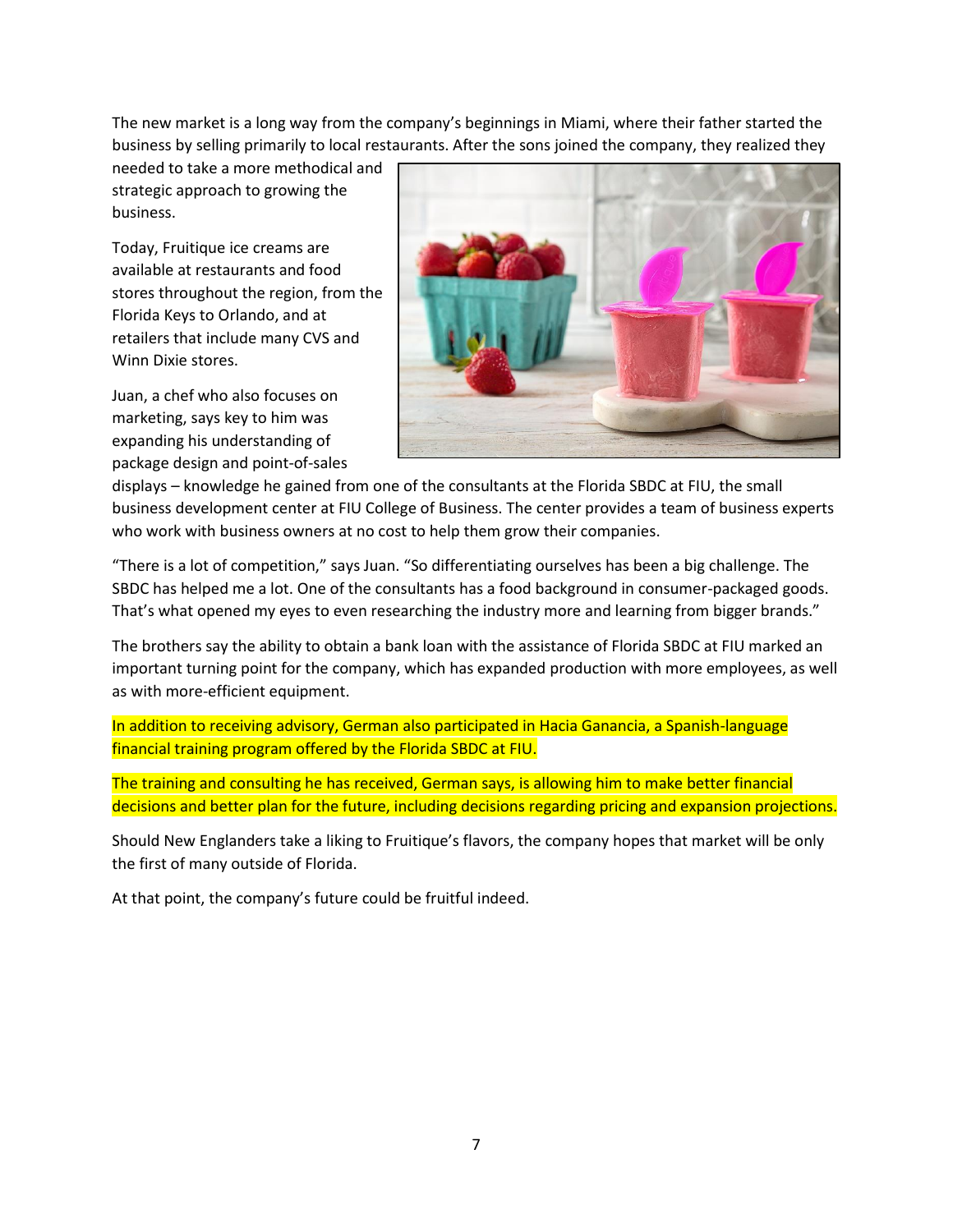The new market is a long way from the company's beginnings in Miami, where their father started the business by selling primarily to local restaurants. After the sons joined the company, they realized they

needed to take a more methodical and strategic approach to growing the business.

Today, Fruitique ice creams are available at restaurants and food stores throughout the region, from the Florida Keys to Orlando, and at retailers that include many CVS and Winn Dixie stores.

Juan, a chef who also focuses on marketing, says key to him was expanding his understanding of package design and point-of-sales



displays – knowledge he gained from one of the consultants at the Florida SBDC at FIU, the small business development center at FIU College of Business. The center provides a team of business experts who work with business owners at no cost to help them grow their companies.

"There is a lot of competition," says Juan. "So differentiating ourselves has been a big challenge. The SBDC has helped me a lot. One of the consultants has a food background in consumer-packaged goods. That's what opened my eyes to even researching the industry more and learning from bigger brands."

The brothers say the ability to obtain a bank loan with the assistance of Florida SBDC at FIU marked an important turning point for the company, which has expanded production with more employees, as well as with more-efficient equipment.

In addition to receiving advisory, German also participated in Hacia Ganancia, a Spanish-language financial training program offered by the Florida SBDC at FIU.

The training and consulting he has received, German says, is allowing him to make better financial decisions and better plan for the future, including decisions regarding pricing and expansion projections.

Should New Englanders take a liking to Fruitique's flavors, the company hopes that market will be only the first of many outside of Florida.

At that point, the company's future could be fruitful indeed.